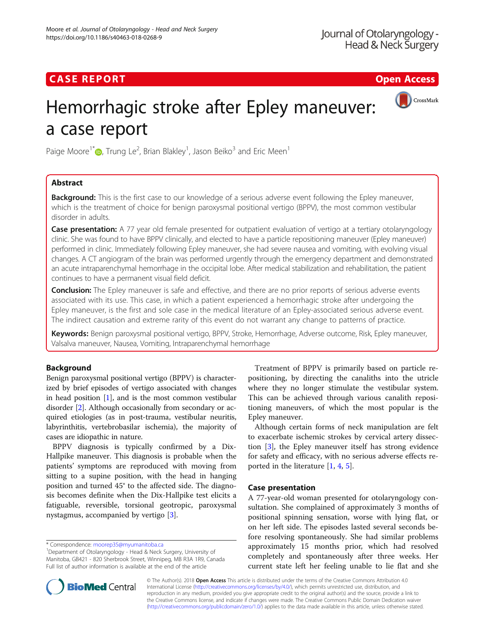# **CASE REPORT CASE REPORT CASE REPORT**



# Hemorrhagic stroke after Epley maneuver: a case report

Paige Moore<sup>1\*</sup> <sub>.</sub> Trung Le<sup>2</sup>, Brian Blakley<sup>1</sup>, Jason Beiko<sup>3</sup> and Eric Meen<sup>1</sup>

# Abstract

**Background:** This is the first case to our knowledge of a serious adverse event following the Epley maneuver, which is the treatment of choice for benign paroxysmal positional vertigo (BPPV), the most common vestibular disorder in adults.

**Case presentation:** A 77 year old female presented for outpatient evaluation of vertigo at a tertiary otolaryngology clinic. She was found to have BPPV clinically, and elected to have a particle repositioning maneuver (Epley maneuver) performed in clinic. Immediately following Epley maneuver, she had severe nausea and vomiting, with evolving visual changes. A CT angiogram of the brain was performed urgently through the emergency department and demonstrated an acute intraparenchymal hemorrhage in the occipital lobe. After medical stabilization and rehabilitation, the patient continues to have a permanent visual field deficit.

**Conclusion:** The Epley maneuver is safe and effective, and there are no prior reports of serious adverse events associated with its use. This case, in which a patient experienced a hemorrhagic stroke after undergoing the Epley maneuver, is the first and sole case in the medical literature of an Epley-associated serious adverse event. The indirect causation and extreme rarity of this event do not warrant any change to patterns of practice.

Keywords: Benign paroxysmal positional vertigo, BPPV, Stroke, Hemorrhage, Adverse outcome, Risk, Epley maneuver, Valsalva maneuver, Nausea, Vomiting, Intraparenchymal hemorrhage

# Background

Benign paroxysmal positional vertigo (BPPV) is characterized by brief episodes of vertigo associated with changes in head position  $[1]$ , and is the most common vestibular disorder [[2\]](#page-3-0). Although occasionally from secondary or acquired etiologies (as in post-trauma, vestibular neuritis, labyrinthitis, vertebrobasilar ischemia), the majority of cases are idiopathic in nature.

BPPV diagnosis is typically confirmed by a Dix-Hallpike maneuver. This diagnosis is probable when the patients' symptoms are reproduced with moving from sitting to a supine position, with the head in hanging position and turned 45° to the affected side. The diagnosis becomes definite when the Dix-Hallpike test elicits a fatiguable, reversible, torsional geotropic, paroxysmal nystagmus, accompanied by vertigo [\[3](#page-3-0)].

Treatment of BPPV is primarily based on particle repositioning, by directing the canaliths into the utricle where they no longer stimulate the vestibular system. This can be achieved through various canalith repositioning maneuvers, of which the most popular is the Epley maneuver.

Although certain forms of neck manipulation are felt to exacerbate ischemic strokes by cervical artery dissection [\[3](#page-3-0)], the Epley maneuver itself has strong evidence for safety and efficacy, with no serious adverse effects reported in the literature [[1,](#page-3-0) [4,](#page-3-0) [5\]](#page-3-0).

# Case presentation

A 77-year-old woman presented for otolaryngology consultation. She complained of approximately 3 months of positional spinning sensation, worse with lying flat, or on her left side. The episodes lasted several seconds before resolving spontaneously. She had similar problems approximately 15 months prior, which had resolved completely and spontaneously after three weeks. Her current state left her feeling unable to lie flat and she



© The Author(s). 2018 Open Access This article is distributed under the terms of the Creative Commons Attribution 4.0 International License [\(http://creativecommons.org/licenses/by/4.0/](http://creativecommons.org/licenses/by/4.0/)), which permits unrestricted use, distribution, and reproduction in any medium, provided you give appropriate credit to the original author(s) and the source, provide a link to the Creative Commons license, and indicate if changes were made. The Creative Commons Public Domain Dedication waiver [\(http://creativecommons.org/publicdomain/zero/1.0/](http://creativecommons.org/publicdomain/zero/1.0/)) applies to the data made available in this article, unless otherwise stated.

<sup>\*</sup> Correspondence: [moorep35@myumanitoba.ca](mailto:moorep35@myumanitoba.ca) <sup>1</sup>

Department of Otolaryngology - Head & Neck Surgery, University of Manitoba, GB421 - 820 Sherbrook Street, Winnipeg, MB R3A 1R9, Canada Full list of author information is available at the end of the article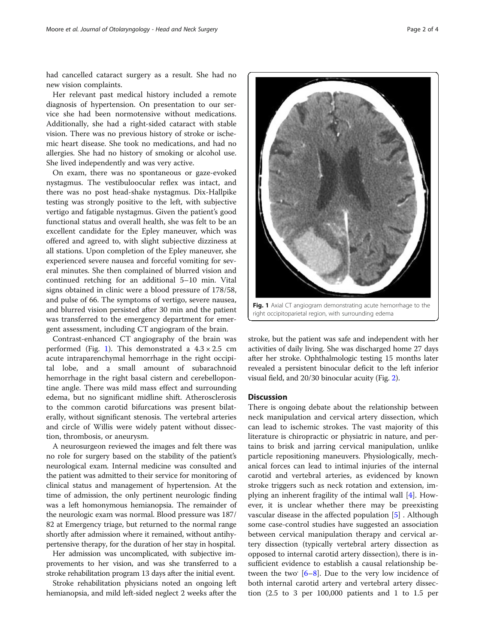had cancelled cataract surgery as a result. She had no new vision complaints.

Her relevant past medical history included a remote diagnosis of hypertension. On presentation to our service she had been normotensive without medications. Additionally, she had a right-sided cataract with stable vision. There was no previous history of stroke or ischemic heart disease. She took no medications, and had no allergies. She had no history of smoking or alcohol use. She lived independently and was very active.

On exam, there was no spontaneous or gaze-evoked nystagmus. The vestibuloocular reflex was intact, and there was no post head-shake nystagmus. Dix-Hallpike testing was strongly positive to the left, with subjective vertigo and fatigable nystagmus. Given the patient's good functional status and overall health, she was felt to be an excellent candidate for the Epley maneuver, which was offered and agreed to, with slight subjective dizziness at all stations. Upon completion of the Epley maneuver, she experienced severe nausea and forceful vomiting for several minutes. She then complained of blurred vision and continued retching for an additional 5–10 min. Vital signs obtained in clinic were a blood pressure of 178/58, and pulse of 66. The symptoms of vertigo, severe nausea, and blurred vision persisted after 30 min and the patient was transferred to the emergency department for emergent assessment, including CT angiogram of the brain.

Contrast-enhanced CT angiography of the brain was performed (Fig. 1). This demonstrated a  $4.3 \times 2.5$  cm acute intraparenchymal hemorrhage in the right occipital lobe, and a small amount of subarachnoid hemorrhage in the right basal cistern and cerebellopontine angle. There was mild mass effect and surrounding edema, but no significant midline shift. Atherosclerosis to the common carotid bifurcations was present bilaterally, without significant stenosis. The vertebral arteries and circle of Willis were widely patent without dissection, thrombosis, or aneurysm.

A neurosurgeon reviewed the images and felt there was no role for surgery based on the stability of the patient's neurological exam. Internal medicine was consulted and the patient was admitted to their service for monitoring of clinical status and management of hypertension. At the time of admission, the only pertinent neurologic finding was a left homonymous hemianopsia. The remainder of the neurologic exam was normal. Blood pressure was 187/ 82 at Emergency triage, but returned to the normal range shortly after admission where it remained, without antihypertensive therapy, for the duration of her stay in hospital.

Her admission was uncomplicated, with subjective improvements to her vision, and was she transferred to a stroke rehabilitation program 13 days after the initial event.

Stroke rehabilitation physicians noted an ongoing left hemianopsia, and mild left-sided neglect 2 weeks after the

stroke, but the patient was safe and independent with her

activities of daily living. She was discharged home 27 days after her stroke. Ophthalmologic testing 15 months later revealed a persistent binocular deficit to the left inferior visual field, and 20/30 binocular acuity (Fig. [2](#page-2-0)).

# **Discussion**

There is ongoing debate about the relationship between neck manipulation and cervical artery dissection, which can lead to ischemic strokes. The vast majority of this literature is chiropractic or physiatric in nature, and pertains to brisk and jarring cervical manipulation, unlike particle repositioning maneuvers. Physiologically, mechanical forces can lead to intimal injuries of the internal carotid and vertebral arteries, as evidenced by known stroke triggers such as neck rotation and extension, implying an inherent fragility of the intimal wall [[4\]](#page-3-0). However, it is unclear whether there may be preexisting vascular disease in the affected population [\[5\]](#page-3-0) . Although some case-control studies have suggested an association between cervical manipulation therapy and cervical artery dissection (typically vertebral artery dissection as opposed to internal carotid artery dissection), there is insufficient evidence to establish a causal relationship between the two'  $[6-8]$  $[6-8]$  $[6-8]$  $[6-8]$  $[6-8]$ . Due to the very low incidence of both internal carotid artery and vertebral artery dissection (2.5 to 3 per 100,000 patients and 1 to 1.5 per

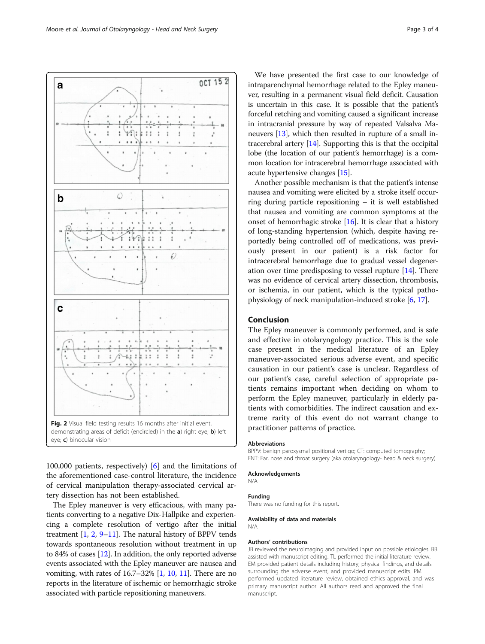We have presented the first case to our knowledge of intraparenchymal hemorrhage related to the Epley maneuver, resulting in a permanent visual field deficit. Causation is uncertain in this case. It is possible that the patient's forceful retching and vomiting caused a significant increase in intracranial pressure by way of repeated Valsalva Maneuvers [\[13\]](#page-3-0), which then resulted in rupture of a small intracerebral artery [\[14\]](#page-3-0). Supporting this is that the occipital lobe (the location of our patient's hemorrhage) is a common location for intracerebral hemorrhage associated with acute hypertensive changes [\[15](#page-3-0)].

Another possible mechanism is that the patient's intense nausea and vomiting were elicited by a stroke itself occurring during particle repositioning – it is well established that nausea and vomiting are common symptoms at the onset of hemorrhagic stroke [\[16](#page-3-0)]. It is clear that a history of long-standing hypertension (which, despite having reportedly being controlled off of medications, was previously present in our patient) is a risk factor for intracerebral hemorrhage due to gradual vessel degeneration over time predisposing to vessel rupture [[14](#page-3-0)]. There was no evidence of cervical artery dissection, thrombosis, or ischemia, in our patient, which is the typical pathophysiology of neck manipulation-induced stroke [\[6,](#page-3-0) [17](#page-3-0)].

## Conclusion

The Epley maneuver is commonly performed, and is safe and effective in otolaryngology practice. This is the sole case present in the medical literature of an Epley maneuver-associated serious adverse event, and specific causation in our patient's case is unclear. Regardless of our patient's case, careful selection of appropriate patients remains important when deciding on whom to perform the Epley maneuver, particularly in elderly patients with comorbidities. The indirect causation and extreme rarity of this event do not warrant change to practitioner patterns of practice.

#### Abbreviations

BPPV: benign paroxysmal positional vertigo; CT: computed tomography; ENT: Ear, nose and throat surgery (aka otolaryngology- head & neck surgery)

#### Acknowledgements

# Funding

N/A

There was no funding for this report.

#### Availability of data and materials N/A

## Authors' contributions

JB reviewed the neuroimaging and provided input on possible etiologies. BB assisted with manuscript editing. TL performed the initial literature review. EM provided patient details including history, physical findings, and details surrounding the adverse event, and provided manuscript edits. PM performed updated literature review, obtained ethics approval, and was primary manuscript author. All authors read and approved the final manuscript.

<span id="page-2-0"></span>

100,000 patients, respectively) [\[6\]](#page-3-0) and the limitations of the aforementioned case-control literature, the incidence of cervical manipulation therapy-associated cervical artery dissection has not been established.

The Epley maneuver is very efficacious, with many patients converting to a negative Dix-Hallpike and experiencing a complete resolution of vertigo after the initial treatment  $[1, 2, 9-11]$  $[1, 2, 9-11]$  $[1, 2, 9-11]$  $[1, 2, 9-11]$  $[1, 2, 9-11]$  $[1, 2, 9-11]$  $[1, 2, 9-11]$  $[1, 2, 9-11]$ . The natural history of BPPV tends towards spontaneous resolution without treatment in up to 84% of cases [\[12\]](#page-3-0). In addition, the only reported adverse events associated with the Epley maneuver are nausea and vomiting, with rates of 16.7–32% [[1](#page-3-0), [10](#page-3-0), [11\]](#page-3-0). There are no reports in the literature of ischemic or hemorrhagic stroke associated with particle repositioning maneuvers.